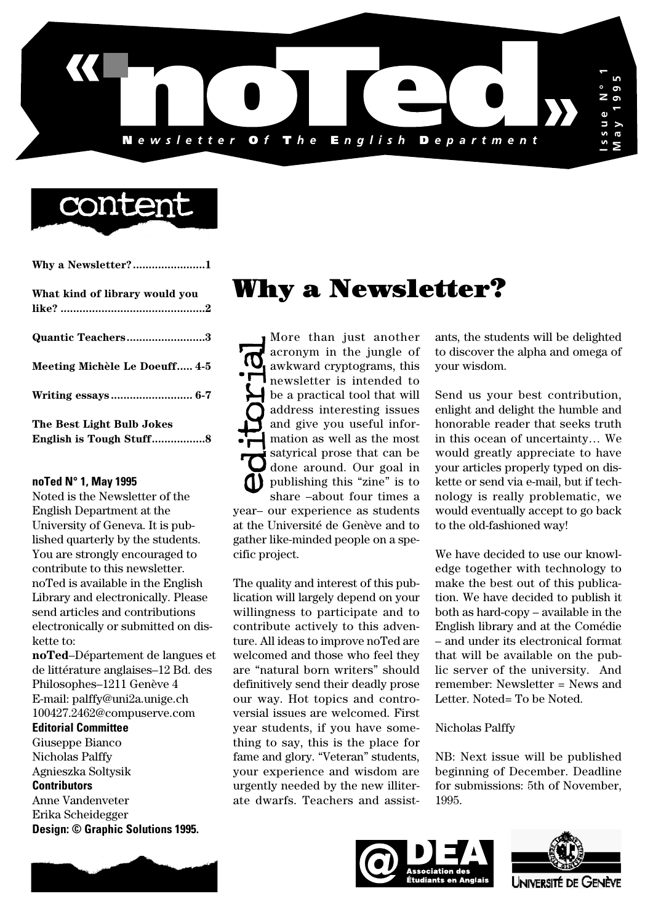

# conter

| What kind of library would you |
|--------------------------------|
|                                |
| Quantic Teachers3              |
| Meeting Michèle Le Doeuff 4-5  |

**Writing essays .......................... 6-7**

**The Best Light Bulb Jokes English is Tough Stuff.................8**

# **noTed N° 1, May 1995**

Noted is the Newsletter of the English Department at the University of Geneva. It is published quarterly by the students. You are strongly encouraged to contribute to this newsletter. noTed is available in the English Library and electronically. Please send articles and contributions electronically or submitted on diskette to:

**noTed**–Département de langues et de littérature anglaises–12 Bd. des Philosophes–1211 Genève 4 E-mail: palffy@uni2a.unige.ch 100427.2462@compuserve.com

**Editorial Committee**

Giuseppe Bianco

Nicholas Palffy Agnieszka Soltysik

**Contributors**

Anne Vandenveter Erika Scheidegger **Design: © Graphic Solutions 1995.**

# Why a Newsletter?

More than just another acronym in the jungle of awkward cryptograms, this **I** newsletter is intended to be a practical tool that will address interesting issues and give you useful information as well as the most satyrical prose that can be done around. Our goal in publishing this "zine" is to share –about four times a year– our experience as students at the Université de Genève and to gather like-minded people on a specific project.

The quality and interest of this publication will largely depend on your willingness to participate and to contribute actively to this adventure. All ideas to improve noTed are welcomed and those who feel they are "natural born writers" should definitively send their deadly prose our way. Hot topics and controversial issues are welcomed. First year students, if you have something to say, this is the place for fame and glory. "Veteran" students, your experience and wisdom are urgently needed by the new illiterate dwarfs. Teachers and assistants, the students will be delighted to discover the alpha and omega of your wisdom.

Send us your best contribution, enlight and delight the humble and honorable reader that seeks truth in this ocean of uncertainty… We would greatly appreciate to have your articles properly typed on diskette or send via e-mail, but if technology is really problematic, we would eventually accept to go back to the old-fashioned way!

We have decided to use our knowledge together with technology to make the best out of this publication. We have decided to publish it both as hard-copy – available in the English library and at the Comédie – and under its electronical format that will be available on the public server of the university. And remember: Newsletter = News and Letter. Noted= To be Noted.

Nicholas Palffy

NB: Next issue will be published beginning of December. Deadline for submissions: 5th of November, 1995.





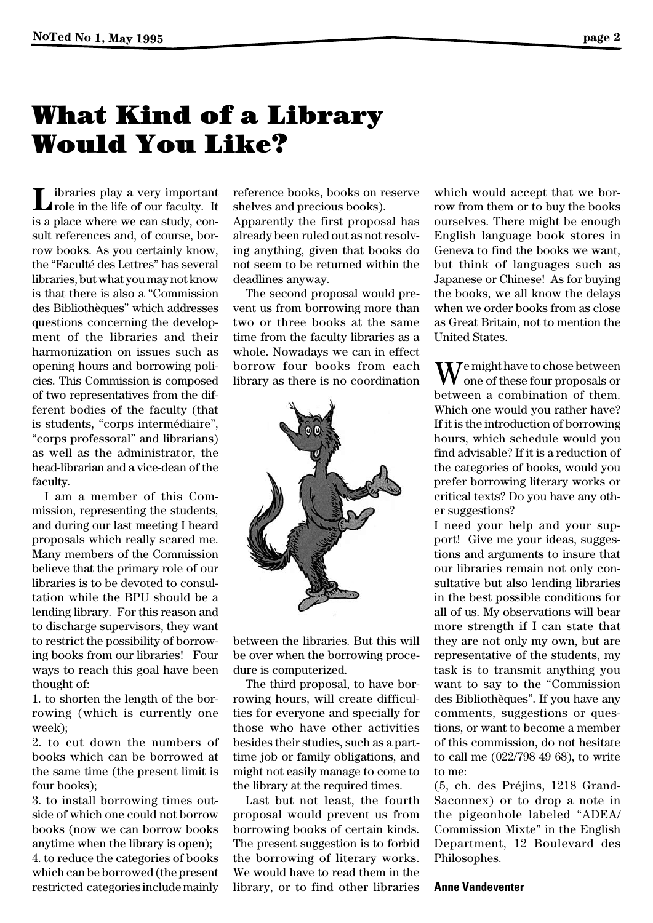# What Kind of a Library Would You Like?

Let in the life of our faculty. It role in the life of our faculty. is a place where we can study, consult references and, of course, borrow books. As you certainly know, the "Faculté des Lettres" has several libraries, but what you may not know is that there is also a "Commission des Bibliothèques" which addresses questions concerning the development of the libraries and their harmonization on issues such as opening hours and borrowing policies. This Commission is composed of two representatives from the different bodies of the faculty (that is students, "corps intermédiaire", "corps professoral" and librarians) as well as the administrator, the head-librarian and a vice-dean of the faculty.

I am a member of this Commission, representing the students, and during our last meeting I heard proposals which really scared me. Many members of the Commission believe that the primary role of our libraries is to be devoted to consultation while the BPU should be a lending library. For this reason and to discharge supervisors, they want to restrict the possibility of borrowing books from our libraries! Four ways to reach this goal have been thought of:

1. to shorten the length of the borrowing (which is currently one week);

2. to cut down the numbers of books which can be borrowed at the same time (the present limit is four books);

3. to install borrowing times outside of which one could not borrow books (now we can borrow books anytime when the library is open); 4. to reduce the categories of books which can be borrowed (the present restricted categories include mainly

reference books, books on reserve shelves and precious books).

Apparently the first proposal has already been ruled out as not resolving anything, given that books do not seem to be returned within the deadlines anyway.

The second proposal would prevent us from borrowing more than two or three books at the same time from the faculty libraries as a whole. Nowadays we can in effect borrow four books from each library as there is no coordination



between the libraries. But this will be over when the borrowing procedure is computerized.

The third proposal, to have borrowing hours, will create difficulties for everyone and specially for those who have other activities besides their studies, such as a parttime job or family obligations, and might not easily manage to come to the library at the required times.

Last but not least, the fourth proposal would prevent us from borrowing books of certain kinds. The present suggestion is to forbid the borrowing of literary works. We would have to read them in the library, or to find other libraries which would accept that we borrow from them or to buy the books ourselves. There might be enough English language book stores in Geneva to find the books we want, but think of languages such as Japanese or Chinese! As for buying the books, we all know the delays when we order books from as close as Great Britain, not to mention the United States.

 $\mathbf{W}$ e might have to chose between one of these four proposals or between a combination of them. Which one would you rather have? If it is the introduction of borrowing hours, which schedule would you find advisable? If it is a reduction of the categories of books, would you prefer borrowing literary works or critical texts? Do you have any other suggestions?

I need your help and your support! Give me your ideas, suggestions and arguments to insure that our libraries remain not only consultative but also lending libraries in the best possible conditions for all of us. My observations will bear more strength if I can state that they are not only my own, but are representative of the students, my task is to transmit anything you want to say to the "Commission des Bibliothèques". If you have any comments, suggestions or questions, or want to become a member of this commission, do not hesitate to call me (022/798 49 68), to write to me:

(5, ch. des Préjins, 1218 Grand-Saconnex) or to drop a note in the pigeonhole labeled "ADEA/ Commission Mixte" in the English Department, 12 Boulevard des Philosophes.

## **Anne Vandeventer**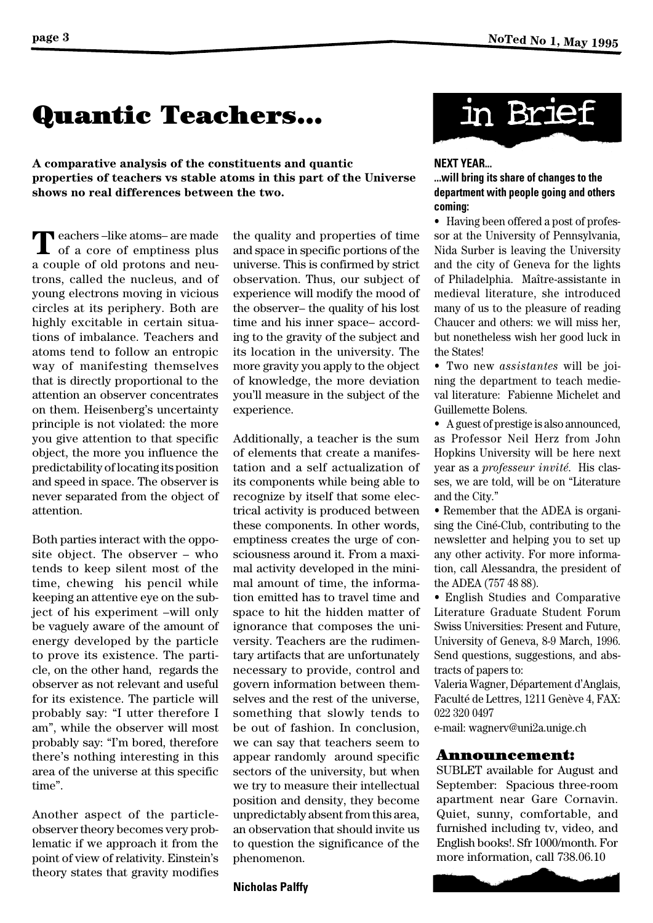# Quantic Teachers...

**A comparative analysis of the constituents and quantic properties of teachers vs stable atoms in this part of the Universe shows no real differences between the two.**

 $\sum$  eachers –like atoms– are made<br>of a core of emptiness plus a couple of old protons and neutrons, called the nucleus, and of young electrons moving in vicious circles at its periphery. Both are highly excitable in certain situations of imbalance. Teachers and atoms tend to follow an entropic way of manifesting themselves that is directly proportional to the attention an observer concentrates on them. Heisenberg's uncertainty principle is not violated: the more you give attention to that specific object, the more you influence the predictability of locating its position and speed in space. The observer is never separated from the object of attention.

Both parties interact with the opposite object. The observer – who tends to keep silent most of the time, chewing his pencil while keeping an attentive eye on the subject of his experiment –will only be vaguely aware of the amount of energy developed by the particle to prove its existence. The particle, on the other hand, regards the observer as not relevant and useful for its existence. The particle will probably say: "I utter therefore I am", while the observer will most probably say: "I'm bored, therefore there's nothing interesting in this area of the universe at this specific time".

Another aspect of the particleobserver theory becomes very problematic if we approach it from the point of view of relativity. Einstein's theory states that gravity modifies the quality and properties of time and space in specific portions of the universe. This is confirmed by strict observation. Thus, our subject of experience will modify the mood of the observer– the quality of his lost time and his inner space– according to the gravity of the subject and its location in the university. The more gravity you apply to the object of knowledge, the more deviation you'll measure in the subject of the experience.

Additionally, a teacher is the sum of elements that create a manifestation and a self actualization of its components while being able to recognize by itself that some electrical activity is produced between these components. In other words, emptiness creates the urge of consciousness around it. From a maximal activity developed in the minimal amount of time, the information emitted has to travel time and space to hit the hidden matter of ignorance that composes the university. Teachers are the rudimentary artifacts that are unfortunately necessary to provide, control and govern information between themselves and the rest of the universe, something that slowly tends to be out of fashion. In conclusion, we can say that teachers seem to appear randomly around specific sectors of the university, but when we try to measure their intellectual position and density, they become unpredictably absent from this area, an observation that should invite us to question the significance of the phenomenon.





## **NEXT YEAR...**

# **...will bring its share of changes to the department with people going and others coming:**

• Having been offered a post of professor at the University of Pennsylvania, Nida Surber is leaving the University and the city of Geneva for the lights of Philadelphia. Maître-assistante in medieval literature, she introduced many of us to the pleasure of reading Chaucer and others: we will miss her, but nonetheless wish her good luck in the States!

• Two new *assistantes* will be joining the department to teach medieval literature: Fabienne Michelet and Guillemette Bolens.

• A guest of prestige is also announced, as Professor Neil Herz from John Hopkins University will be here next year as a *professeur invité*. His classes, we are told, will be on "Literature and the City."

• Remember that the ADEA is organising the Ciné-Club, contributing to the newsletter and helping you to set up any other activity. For more information, call Alessandra, the president of the ADEA (757 48 88).

• English Studies and Comparative Literature Graduate Student Forum Swiss Universities: Present and Future, University of Geneva, 8-9 March, 1996. Send questions, suggestions, and abstracts of papers to:

Valeria Wagner, Département d'Anglais, Faculté de Lettres, 1211 Genève 4, FAX: 022 320 0497

e-mail: wagnerv@uni2a.unige.ch

## Announcement:

SUBLET available for August and September: Spacious three-room apartment near Gare Cornavin. Quiet, sunny, comfortable, and furnished including tv, video, and English books!. Sfr 1000/month. For more information, call 738.06.10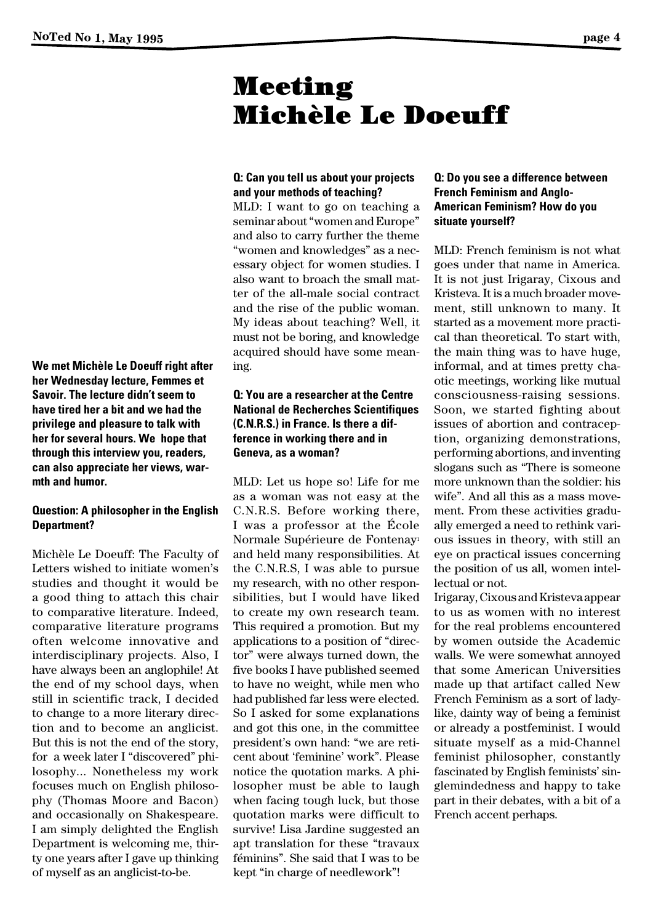**page 4**

# Meeting Michèle Le Doeuff

# **Q: Can you tell us about your projects and your methods of teaching?**

MLD: I want to go on teaching a seminar about "women and Europe" and also to carry further the theme "women and knowledges" as a necessary object for women studies. I also want to broach the small matter of the all-male social contract and the rise of the public woman. My ideas about teaching? Well, it must not be boring, and knowledge acquired should have some meaning.

# **Q: You are a researcher at the Centre National de Recherches Scientifiques (C.N.R.S.) in France. Is there a difference in working there and in Geneva, as a woman?**

MLD: Let us hope so! Life for me as a woman was not easy at the C.N.R.S. Before working there, I was a professor at the École Normale Supérieure de Fontenay1 and held many responsibilities. At the C.N.R.S, I was able to pursue my research, with no other responsibilities, but I would have liked to create my own research team. This required a promotion. But my applications to a position of "director" were always turned down, the five books I have published seemed to have no weight, while men who had published far less were elected. So I asked for some explanations and got this one, in the committee president's own hand: "we are reticent about 'feminine' work". Please notice the quotation marks. A philosopher must be able to laugh when facing tough luck, but those quotation marks were difficult to survive! Lisa Jardine suggested an apt translation for these "travaux féminins". She said that I was to be kept "in charge of needlework"!

# **Q: Do you see a difference between French Feminism and Anglo-American Feminism? How do you situate yourself?**

MLD: French feminism is not what goes under that name in America. It is not just Irigaray, Cixous and Kristeva. It is a much broader movement, still unknown to many. It started as a movement more practical than theoretical. To start with, the main thing was to have huge, informal, and at times pretty chaotic meetings, working like mutual consciousness-raising sessions. Soon, we started fighting about issues of abortion and contraception, organizing demonstrations, performing abortions, and inventing slogans such as "There is someone more unknown than the soldier: his wife". And all this as a mass movement. From these activities gradually emerged a need to rethink various issues in theory, with still an eye on practical issues concerning the position of us all, women intellectual or not.

Irigaray, Cixous and Kristeva appear to us as women with no interest for the real problems encountered by women outside the Academic walls. We were somewhat annoyed that some American Universities made up that artifact called New French Feminism as a sort of ladylike, dainty way of being a feminist or already a postfeminist. I would situate myself as a mid-Channel feminist philosopher, constantly fascinated by English feminists' singlemindedness and happy to take part in their debates, with a bit of a French accent perhaps.

**We met Michèle Le Doeuff right after her Wednesday lecture, Femmes et Savoir. The lecture didn't seem to have tired her a bit and we had the privilege and pleasure to talk with her for several hours. We hope that through this interview you, readers, can also appreciate her views, warmth and humor.** 

# **Question: A philosopher in the English Department?**

Michèle Le Doeuff: The Faculty of Letters wished to initiate women's studies and thought it would be a good thing to attach this chair to comparative literature. Indeed, comparative literature programs often welcome innovative and interdisciplinary projects. Also, I have always been an anglophile! At the end of my school days, when still in scientific track, I decided to change to a more literary direction and to become an anglicist. But this is not the end of the story, for a week later I "discovered" philosophy... Nonetheless my work focuses much on English philosophy (Thomas Moore and Bacon) and occasionally on Shakespeare. I am simply delighted the English Department is welcoming me, thirty one years after I gave up thinking of myself as an anglicist-to-be.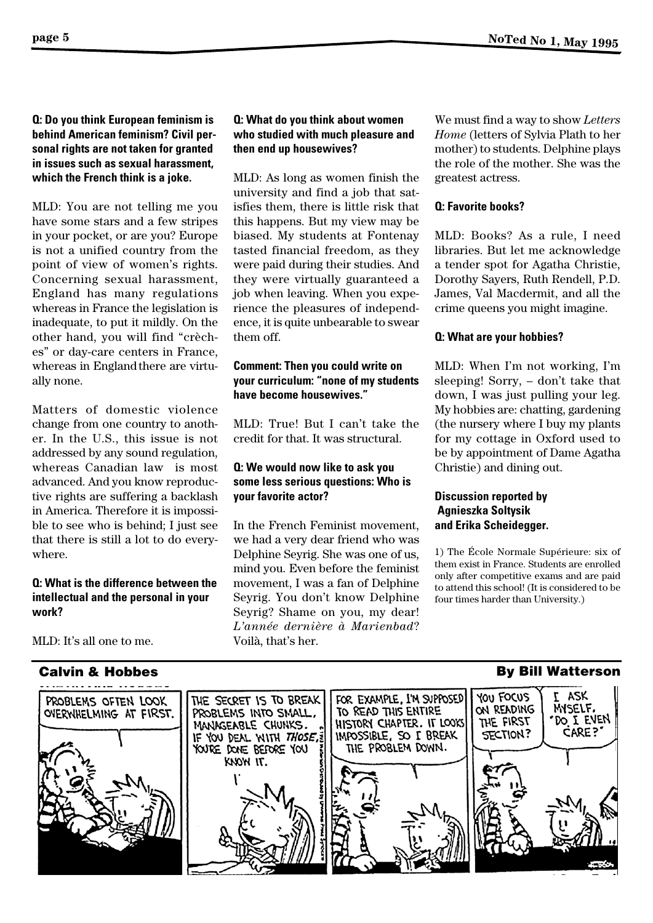**Q: Do you think European feminism is behind American feminism? Civil personal rights are not taken for granted in issues such as sexual harassment, which the French think is a joke.**

MLD: You are not telling me you have some stars and a few stripes in your pocket, or are you? Europe is not a unified country from the point of view of women's rights. Concerning sexual harassment, England has many regulations whereas in France the legislation is inadequate, to put it mildly. On the other hand, you will find "crèches" or day-care centers in France, whereas in England there are virtually none.

Matters of domestic violence change from one country to another. In the U.S., this issue is not addressed by any sound regulation, whereas Canadian law is most advanced. And you know reproductive rights are suffering a backlash in America. Therefore it is impossible to see who is behind; I just see that there is still a lot to do everywhere.

# **Q: What is the difference between the intellectual and the personal in your work?**

MLD: It's all one to me.

# **Q: What do you think about women who studied with much pleasure and then end up housewives?**

MLD: As long as women finish the university and find a job that satisfies them, there is little risk that this happens. But my view may be biased. My students at Fontenay tasted financial freedom, as they were paid during their studies. And they were virtually guaranteed a job when leaving. When you experience the pleasures of independence, it is quite unbearable to swear them off.

# **Comment: Then you could write on your curriculum: "none of my students have become housewives."**

MLD: True! But I can't take the credit for that. It was structural.

# **Q: We would now like to ask you some less serious questions: Who is your favorite actor?**

In the French Feminist movement, we had a very dear friend who was Delphine Seyrig. She was one of us, mind you. Even before the feminist movement, I was a fan of Delphine Seyrig. You don't know Delphine Seyrig? Shame on you, my dear! *L'année dernière à Marienbad*? Voilà, that's her.

We must find a way to show *Letters Home* (letters of Sylvia Plath to her mother) to students. Delphine plays the role of the mother. She was the greatest actress.

# **Q: Favorite books?**

MLD: Books? As a rule, I need libraries. But let me acknowledge a tender spot for Agatha Christie, Dorothy Sayers, Ruth Rendell, P.D. James, Val Macdermit, and all the crime queens you might imagine.

# **Q: What are your hobbies?**

MLD: When I'm not working, I'm sleeping! Sorry, – don't take that down, I was just pulling your leg. My hobbies are: chatting, gardening (the nursery where I buy my plants for my cottage in Oxford used to be by appointment of Dame Agatha Christie) and dining out.

# **Discussion reported by Agnieszka Soltysik and Erika Scheidegger.**

1) The École Normale Supérieure: six of them exist in France. Students are enrolled only after competitive exams and are paid to attend this school! (It is considered to be four times harder than University.)

#### YOU FOCUS ASK FOR EXAMPLE, I'M SUPPOSED PROBLEMS OFTEN LOOK THE SECRET IS TO BREAK MYSELF. ON READING TO READ THIS ENTIRE OVERWHELMING AT FIRST. PROBLEMS INTO SMALL, DO I EVEN THE FIRST HISTORY CHAPTER. IT LOOKS MANAGEABLE CHUNKS. CARE? SECTION? IF YOU DEAL WITH THOSE, ? IMPOSSIBLE, SO I BREAK YOURE DONE BEFORE YOU THE PROBLEM DOWN. KNOW IT.

# **Calvin & Hobbes By Bill Watterson**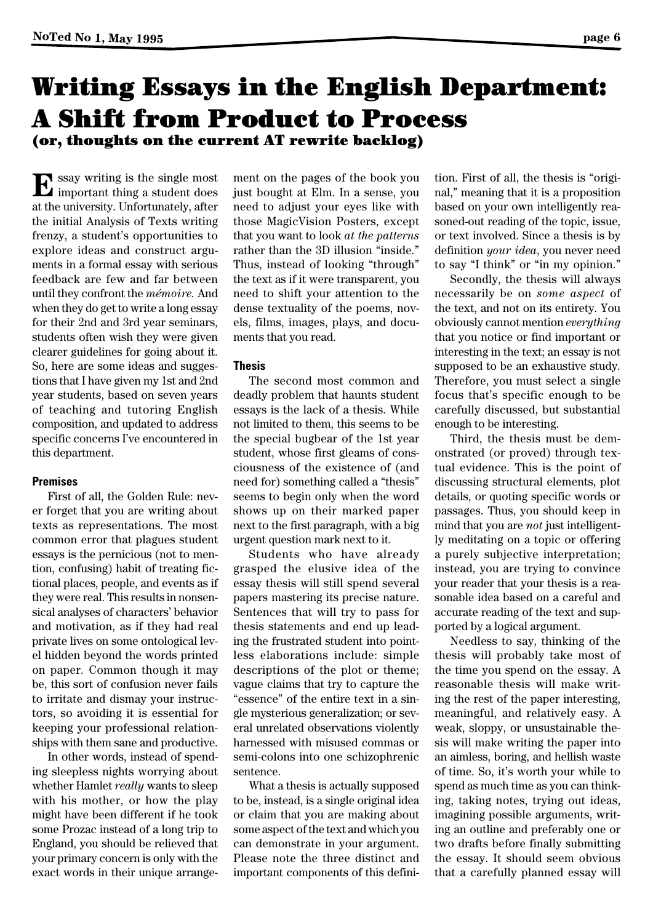## **page 6**

# Writing Essays in the English Department: A Shift from Product to Process (or, thoughts on the current AT rewrite backlog)

 $\mathbf E$  ssay writing is the single most important thing a student does at the university. Unfortunately, after the initial Analysis of Texts writing frenzy, a student's opportunities to explore ideas and construct arguments in a formal essay with serious feedback are few and far between until they confront the *mémoire.* And when they do get to write a long essay for their 2nd and 3rd year seminars, students often wish they were given clearer guidelines for going about it. So, here are some ideas and suggestions that I have given my 1st and 2nd year students, based on seven years of teaching and tutoring English composition, and updated to address specific concerns I've encountered in this department.

## **Premises**

First of all, the Golden Rule: never forget that you are writing about texts as representations. The most common error that plagues student essays is the pernicious (not to mention, confusing) habit of treating fictional places, people, and events as if they were real. This results in nonsensical analyses of characters' behavior and motivation, as if they had real private lives on some ontological level hidden beyond the words printed on paper. Common though it may be, this sort of confusion never fails to irritate and dismay your instructors, so avoiding it is essential for keeping your professional relationships with them sane and productive.

In other words, instead of spending sleepless nights worrying about whether Hamlet *really* wants to sleep with his mother, or how the play might have been different if he took some Prozac instead of a long trip to England, you should be relieved that your primary concern is only with the exact words in their unique arrangement on the pages of the book you just bought at Elm. In a sense, you need to adjust your eyes like with those MagicVision Posters, except that you want to look *at the patterns* rather than the 3D illusion "inside." Thus, instead of looking "through" the text as if it were transparent, you need to shift your attention to the dense textuality of the poems, novels, films, images, plays, and documents that you read.

## **Thesis**

The second most common and deadly problem that haunts student essays is the lack of a thesis. While not limited to them, this seems to be the special bugbear of the 1st year student, whose first gleams of consciousness of the existence of (and need for) something called a "thesis" seems to begin only when the word shows up on their marked paper next to the first paragraph, with a big urgent question mark next to it.

Students who have already grasped the elusive idea of the essay thesis will still spend several papers mastering its precise nature. Sentences that will try to pass for thesis statements and end up leading the frustrated student into pointless elaborations include: simple descriptions of the plot or theme; vague claims that try to capture the "essence" of the entire text in a single mysterious generalization; or several unrelated observations violently harnessed with misused commas or semi-colons into one schizophrenic sentence.

What a thesis is actually supposed to be, instead, is a single original idea or claim that you are making about some aspect of the text and which you can demonstrate in your argument. Please note the three distinct and important components of this defini-

tion. First of all, the thesis is "original," meaning that it is a proposition based on your own intelligently reasoned-out reading of the topic, issue, or text involved. Since a thesis is by definition *your idea*, you never need to say "I think" or "in my opinion."

Secondly, the thesis will always necessarily be on *some aspect* of the text, and not on its entirety. You obviously cannot mention *everything*  that you notice or find important or interesting in the text; an essay is not supposed to be an exhaustive study. Therefore, you must select a single focus that's specific enough to be carefully discussed, but substantial enough to be interesting.

Third, the thesis must be demonstrated (or proved) through textual evidence. This is the point of discussing structural elements, plot details, or quoting specific words or passages. Thus, you should keep in mind that you are *not* just intelligently meditating on a topic or offering a purely subjective interpretation; instead, you are trying to convince your reader that your thesis is a reasonable idea based on a careful and accurate reading of the text and supported by a logical argument.

Needless to say, thinking of the thesis will probably take most of the time you spend on the essay. A reasonable thesis will make writing the rest of the paper interesting, meaningful, and relatively easy. A weak, sloppy, or unsustainable thesis will make writing the paper into an aimless, boring, and hellish waste of time. So, it's worth your while to spend as much time as you can thinking, taking notes, trying out ideas, imagining possible arguments, writing an outline and preferably one or two drafts before finally submitting the essay. It should seem obvious that a carefully planned essay will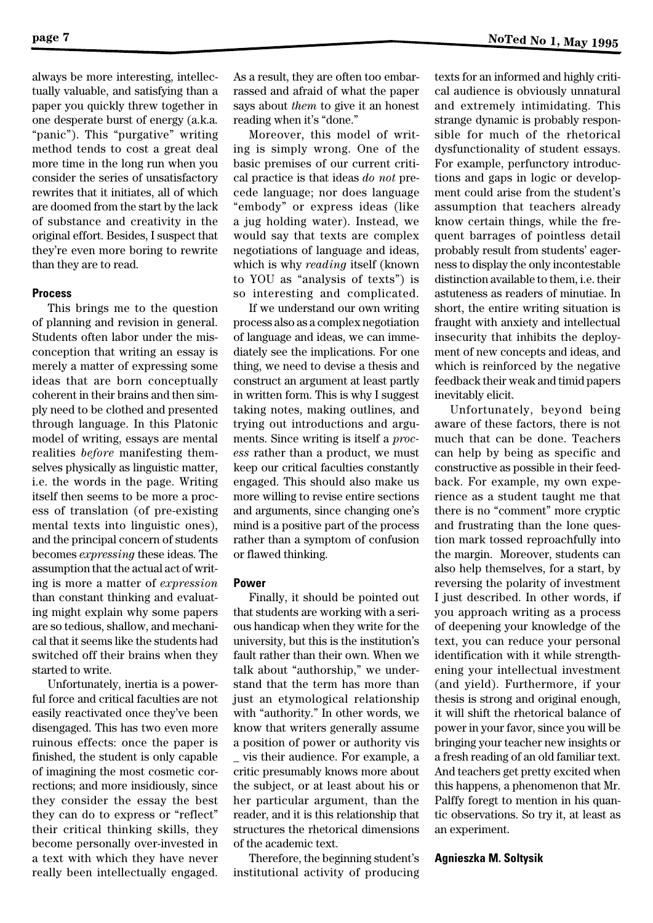always be more interesting, intellectually valuable, and satisfying than a paper you quickly threw together in one desperate burst of energy (a.k.a. "panic"). This "purgative" writing method tends to cost a great deal more time in the long run when you consider the series of unsatisfactory rewrites that it initiates, all of which are doomed from the start by the lack of substance and creativity in the original effort. Besides, I suspect that they're even more boring to rewrite than they are to read.

### **Process**

This brings me to the question of planning and revision in general. Students often labor under the misconception that writing an essay is merely a matter of expressing some ideas that are born conceptually coherent in their brains and then simply need to be clothed and presented through language. In this Platonic model of writing, essays are mental realities *before* manifesting themselves physically as linguistic matter, i.e. the words in the page. Writing itself then seems to be more a process of translation (of pre-existing mental texts into linguistic ones), and the principal concern of students becomes *expressing* these ideas. The assumption that the actual act of writing is more a matter of *expression*  than constant thinking and evaluating might explain why some papers are so tedious, shallow, and mechanical that it seems like the students had switched off their brains when they started to write.

Unfortunately, inertia is a powerful force and critical faculties are not easily reactivated once they've been disengaged. This has two even more ruinous effects: once the paper is finished, the student is only capable of imagining the most cosmetic corrections; and more insidiously, since they consider the essay the best they can do to express or "reflect" their critical thinking skills, they become personally over-invested in a text with which they have never really been intellectually engaged. As a result, they are often too embarrassed and afraid of what the paper says about *them* to give it an honest reading when it's "done."

Moreover, this model of writing is simply wrong. One of the basic premises of our current critical practice is that ideas *do not* precede language; nor does language "embody" or express ideas (like a jug holding water). Instead, we would say that texts are complex negotiations of language and ideas, which is why *reading* itself (known to YOU as "analysis of texts") is so interesting and complicated.

If we understand our own writing process also as a complex negotiation of language and ideas, we can immediately see the implications. For one thing, we need to devise a thesis and construct an argument at least partly in written form. This is why I suggest taking notes, making outlines, and trying out introductions and arguments. Since writing is itself a *process* rather than a product, we must keep our critical faculties constantly engaged. This should also make us more willing to revise entire sections and arguments, since changing one's mind is a positive part of the process rather than a symptom of confusion or flawed thinking.

## **Power**

Finally, it should be pointed out that students are working with a serious handicap when they write for the university, but this is the institution's fault rather than their own. When we talk about "authorship," we understand that the term has more than just an etymological relationship with "authority." In other words, we know that writers generally assume a position of power or authority vis \_ vis their audience. For example, a critic presumably knows more about the subject, or at least about his or her particular argument, than the reader, and it is this relationship that structures the rhetorical dimensions of the academic text.

Therefore, the beginning student's institutional activity of producing

texts for an informed and highly critical audience is obviously unnatural and extremely intimidating. This strange dynamic is probably responsible for much of the rhetorical dysfunctionality of student essays. For example, perfunctory introductions and gaps in logic or development could arise from the student's assumption that teachers already know certain things, while the frequent barrages of pointless detail probably result from students' eagerness to display the only incontestable distinction available to them, i.e. their astuteness as readers of minutiae. In short, the entire writing situation is fraught with anxiety and intellectual insecurity that inhibits the deployment of new concepts and ideas, and which is reinforced by the negative feedback their weak and timid papers inevitably elicit.

Unfortunately, beyond being aware of these factors, there is not much that can be done. Teachers can help by being as specific and constructive as possible in their feedback. For example, my own experience as a student taught me that there is no "comment" more cryptic and frustrating than the lone question mark tossed reproachfully into the margin. Moreover, students can also help themselves, for a start, by reversing the polarity of investment I just described. In other words, if you approach writing as a process of deepening your knowledge of the text, you can reduce your personal identification with it while strengthening your intellectual investment (and yield). Furthermore, if your thesis is strong and original enough, it will shift the rhetorical balance of power in your favor, since you will be bringing your teacher new insights or a fresh reading of an old familiar text. And teachers get pretty excited when this happens, a phenomenon that Mr. Palffy foregt to mention in his quantic observations. So try it, at least as an experiment.

### **Agnieszka M. Soltysik**